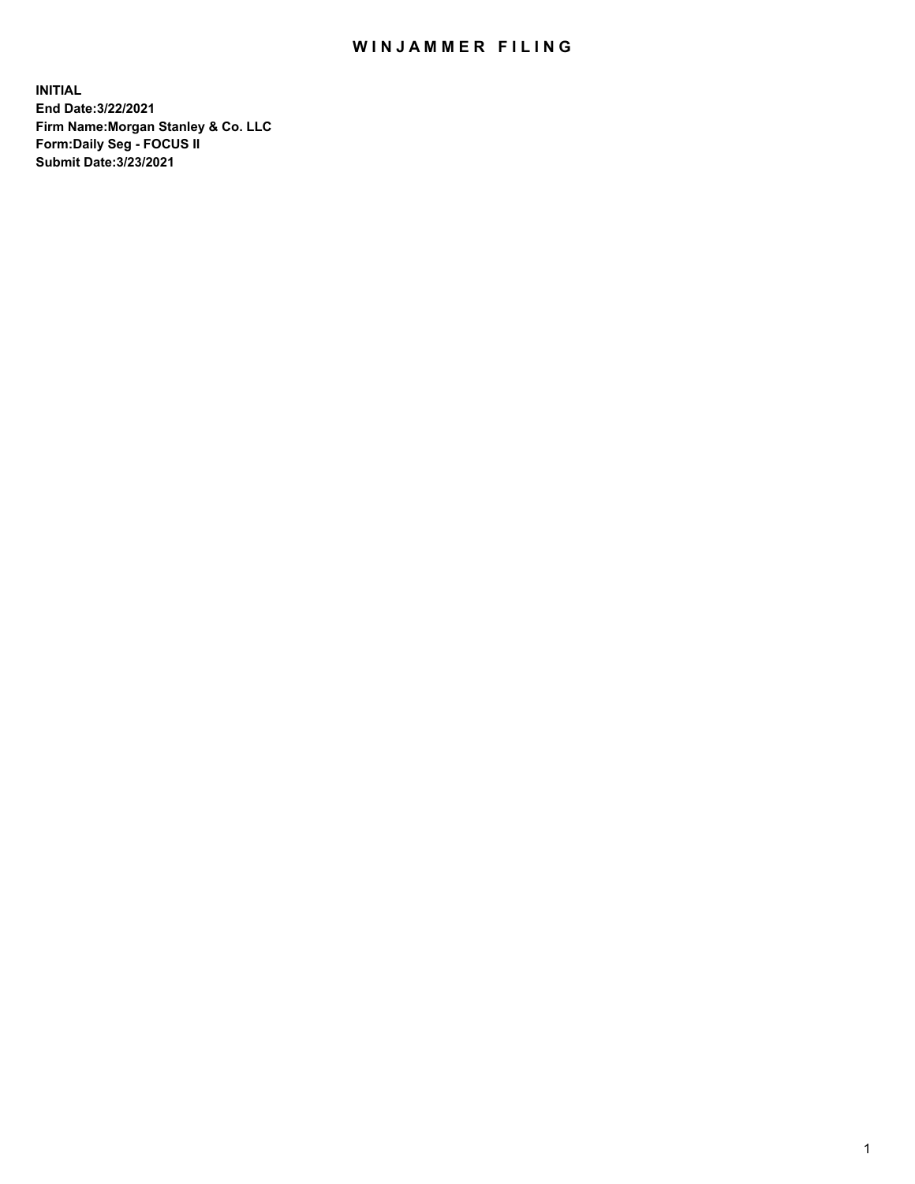## WIN JAMMER FILING

**INITIAL End Date:3/22/2021 Firm Name:Morgan Stanley & Co. LLC Form:Daily Seg - FOCUS II Submit Date:3/23/2021**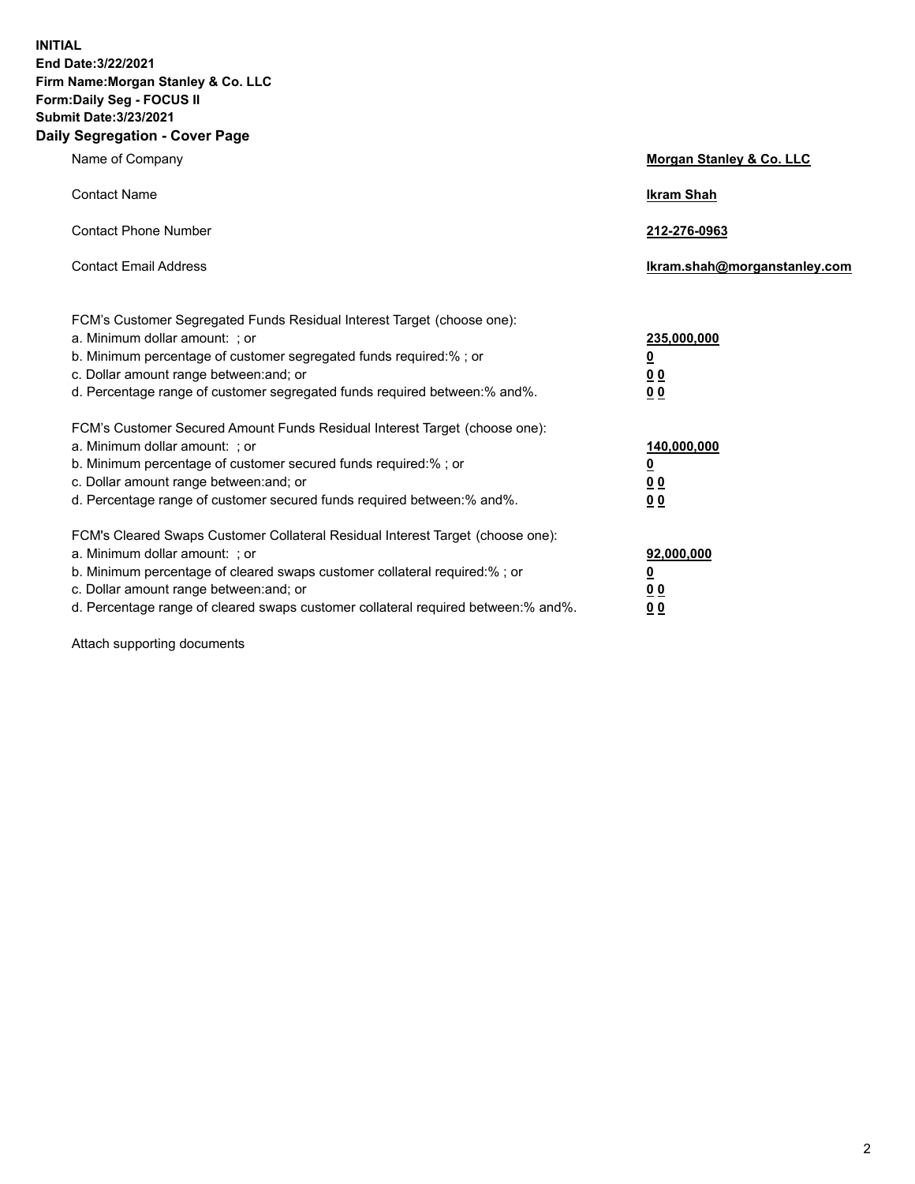**INITIAL End Date:3/22/2021 Firm Name:Morgan Stanley & Co. LLC Form:Daily Seg - FOCUS II Submit Date:3/23/2021 Daily Segregation - Cover Page**

| Name of Company                                                                                                                                                                                                                                                                                                                | <b>Morgan Stanley &amp; Co. LLC</b>                         |
|--------------------------------------------------------------------------------------------------------------------------------------------------------------------------------------------------------------------------------------------------------------------------------------------------------------------------------|-------------------------------------------------------------|
| <b>Contact Name</b>                                                                                                                                                                                                                                                                                                            | <b>Ikram Shah</b>                                           |
| <b>Contact Phone Number</b>                                                                                                                                                                                                                                                                                                    | 212-276-0963                                                |
| <b>Contact Email Address</b>                                                                                                                                                                                                                                                                                                   | Ikram.shah@morganstanley.com                                |
| FCM's Customer Segregated Funds Residual Interest Target (choose one):<br>a. Minimum dollar amount: ; or<br>b. Minimum percentage of customer segregated funds required:% ; or<br>c. Dollar amount range between: and; or<br>d. Percentage range of customer segregated funds required between:% and%.                         | 235,000,000<br><u>0</u><br>0 <sub>0</sub><br>0 <sub>0</sub> |
| FCM's Customer Secured Amount Funds Residual Interest Target (choose one):<br>a. Minimum dollar amount: ; or<br>b. Minimum percentage of customer secured funds required:%; or<br>c. Dollar amount range between: and; or<br>d. Percentage range of customer secured funds required between:% and%.                            | 140,000,000<br><u>0</u><br>0 <sub>0</sub><br>0 <sub>0</sub> |
| FCM's Cleared Swaps Customer Collateral Residual Interest Target (choose one):<br>a. Minimum dollar amount: ; or<br>b. Minimum percentage of cleared swaps customer collateral required:% ; or<br>c. Dollar amount range between: and; or<br>d. Percentage range of cleared swaps customer collateral required between:% and%. | 92,000,000<br><u>0</u><br><u>00</u><br>00                   |

Attach supporting documents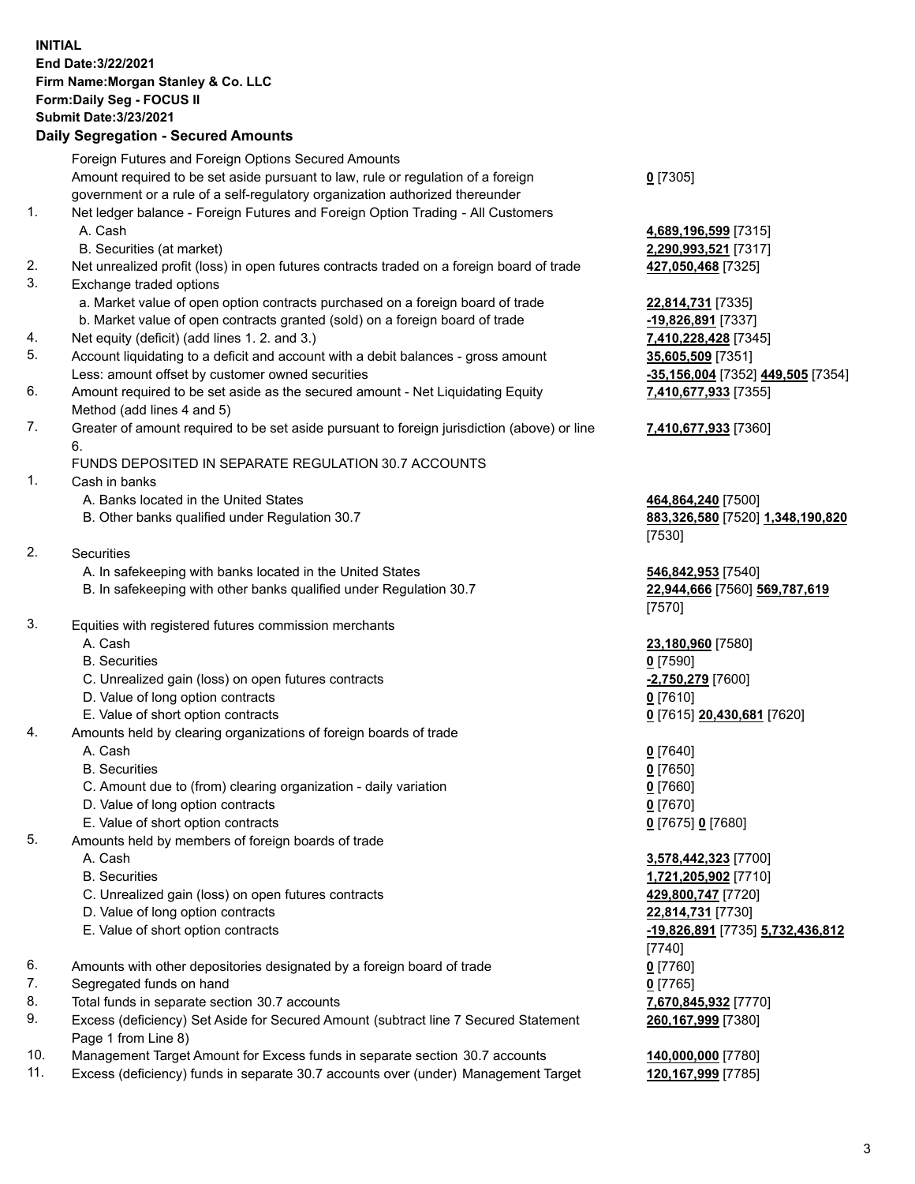## **INITIAL End Date:3/22/2021 Firm Name:Morgan Stanley & Co. LLC Form:Daily Seg - FOCUS II Submit Date:3/23/2021**

## **Daily Segregation - Secured Amounts**

Foreign Futures and Foreign Options Secured Amounts Amount required to be set aside pursuant to law, rule or regulation of a foreign government or a rule of a self-regulatory organization authorized thereunder 1. Net ledger balance - Foreign Futures and Foreign Option Trading - All Customers A. Cash **4,689,196,599** [7315] B. Securities (at market) **2,290,993,521** [7317] 2. Net unrealized profit (loss) in open futures contracts traded on a foreign board of trade **427,050,468** [7325] 3. Exchange traded options a. Market value of open option contracts purchased on a foreign board of trade **22,814,731** [7335] b. Market value of open contracts granted (sold) on a foreign board of trade **-19,826,891** [7337] 4. Net equity (deficit) (add lines 1. 2. and 3.) **7,410,228,428** [7345] 5. Account liquidating to a deficit and account with a debit balances - gross amount **35,605,509** [7351] Less: amount offset by customer owned securities **-35,156,004** [7352] **449,505** [7354] 6. Amount required to be set aside as the secured amount - Net Liquidating Equity Method (add lines 4 and 5) 7. Greater of amount required to be set aside pursuant to foreign jurisdiction (above) or line 6. FUNDS DEPOSITED IN SEPARATE REGULATION 30.7 ACCOUNTS 1. Cash in banks A. Banks located in the United States **464,864,240** [7500] B. Other banks qualified under Regulation 30.7 **883,326,580** [7520] **1,348,190,820** [7530] 2. Securities A. In safekeeping with banks located in the United States **546,842,953** [7540] B. In safekeeping with other banks qualified under Regulation 30.7 **22,944,666** [7560] **569,787,619** [7570] 3. Equities with registered futures commission merchants A. Cash **23,180,960** [7580] B. Securities **0** [7590] C. Unrealized gain (loss) on open futures contracts **-2,750,279** [7600] D. Value of long option contracts **0** [7610] E. Value of short option contracts **0** [7615] **20,430,681** [7620] 4. Amounts held by clearing organizations of foreign boards of trade A. Cash **0** [7640] B. Securities **0** [7650] C. Amount due to (from) clearing organization - daily variation **0** [7660] D. Value of long option contracts **0** [7670] E. Value of short option contracts **0** [7675] **0** [7680] 5. Amounts held by members of foreign boards of trade A. Cash **3,578,442,323** [7700] B. Securities **1,721,205,902** [7710] C. Unrealized gain (loss) on open futures contracts **429,800,747** [7720] D. Value of long option contracts **22,814,731** [7730] E. Value of short option contracts **-19,826,891** [7735] **5,732,436,812** [7740] 6. Amounts with other depositories designated by a foreign board of trade **0** [7760] 7. Segregated funds on hand **0** [7765] 8. Total funds in separate section 30.7 accounts **7,670,845,932** [7770] 9. Excess (deficiency) Set Aside for Secured Amount (subtract line 7 Secured Statement Page 1 from Line 8)

- 10. Management Target Amount for Excess funds in separate section 30.7 accounts **140,000,000** [7780]
- 11. Excess (deficiency) funds in separate 30.7 accounts over (under) Management Target **120,167,999** [7785]

**0** [7305]

**7,410,677,933** [7355]

## **7,410,677,933** [7360]

**260,167,999** [7380]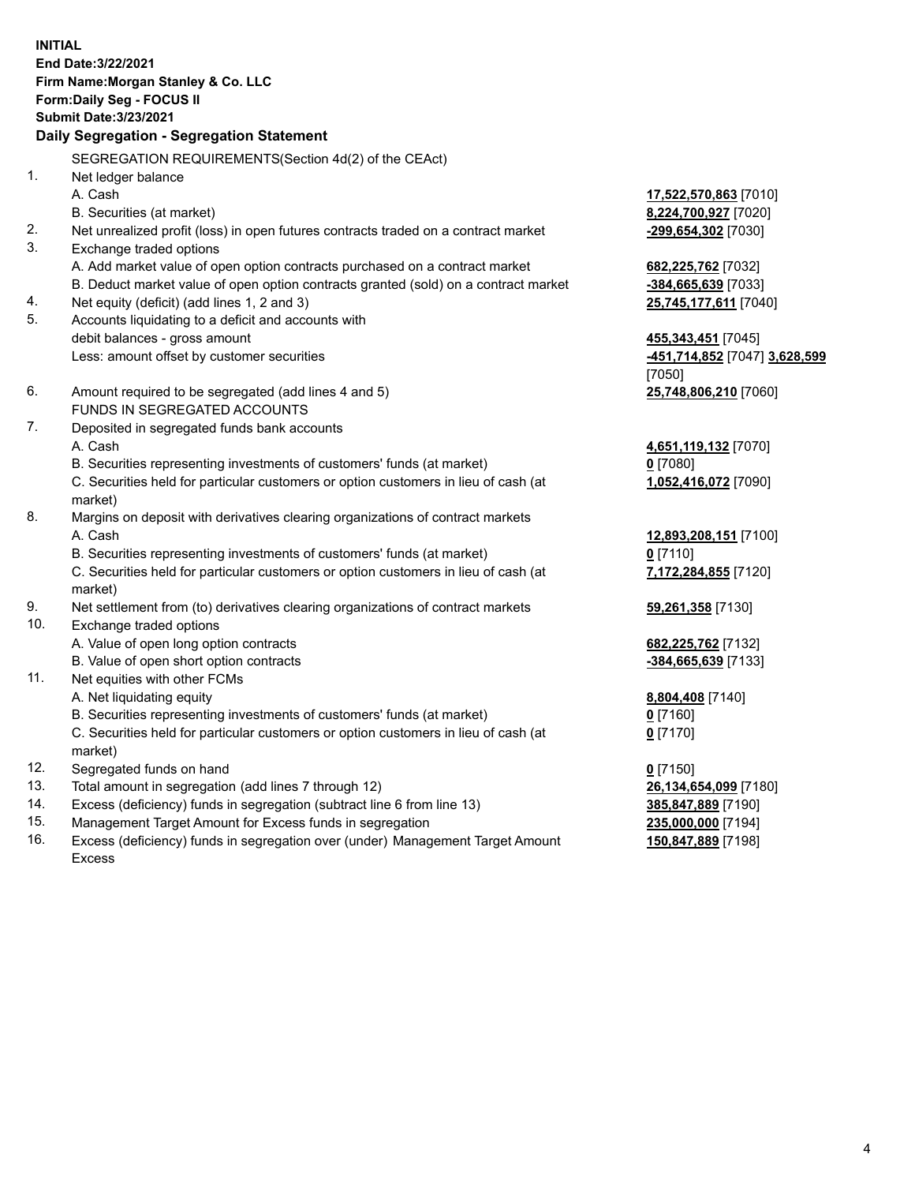**INITIAL End Date:3/22/2021 Firm Name:Morgan Stanley & Co. LLC Form:Daily Seg - FOCUS II Submit Date:3/23/2021 Daily Segregation - Segregation Statement** SEGREGATION REQUIREMENTS(Section 4d(2) of the CEAct) 1. Net ledger balance A. Cash **17,522,570,863** [7010] B. Securities (at market) **8,224,700,927** [7020] 2. Net unrealized profit (loss) in open futures contracts traded on a contract market **-299,654,302** [7030] 3. Exchange traded options A. Add market value of open option contracts purchased on a contract market **682,225,762** [7032] B. Deduct market value of open option contracts granted (sold) on a contract market **-384,665,639** [7033] 4. Net equity (deficit) (add lines 1, 2 and 3) **25,745,177,611** [7040] 5. Accounts liquidating to a deficit and accounts with debit balances - gross amount **455,343,451** [7045] Less: amount offset by customer securities **-451,714,852** [7047] **3,628,599** [7050] 6. Amount required to be segregated (add lines 4 and 5) **25,748,806,210** [7060] FUNDS IN SEGREGATED ACCOUNTS 7. Deposited in segregated funds bank accounts A. Cash **4,651,119,132** [7070] B. Securities representing investments of customers' funds (at market) **0** [7080] C. Securities held for particular customers or option customers in lieu of cash (at market) **1,052,416,072** [7090] 8. Margins on deposit with derivatives clearing organizations of contract markets A. Cash **12,893,208,151** [7100] B. Securities representing investments of customers' funds (at market) **0** [7110] C. Securities held for particular customers or option customers in lieu of cash (at market) **7,172,284,855** [7120] 9. Net settlement from (to) derivatives clearing organizations of contract markets **59,261,358** [7130] 10. Exchange traded options A. Value of open long option contracts **682,225,762** [7132] B. Value of open short option contracts **and the set of our original contracts -384,665,639** [7133] 11. Net equities with other FCMs A. Net liquidating equity **8,804,408** [7140] B. Securities representing investments of customers' funds (at market) **0** [7160] C. Securities held for particular customers or option customers in lieu of cash (at market) **0** [7170] 12. Segregated funds on hand **0** [7150] 13. Total amount in segregation (add lines 7 through 12) **26,134,654,099** [7180] 14. Excess (deficiency) funds in segregation (subtract line 6 from line 13) **385,847,889** [7190] 15. Management Target Amount for Excess funds in segregation **235,000,000** [7194]

16. Excess (deficiency) funds in segregation over (under) Management Target Amount Excess

**150,847,889** [7198]